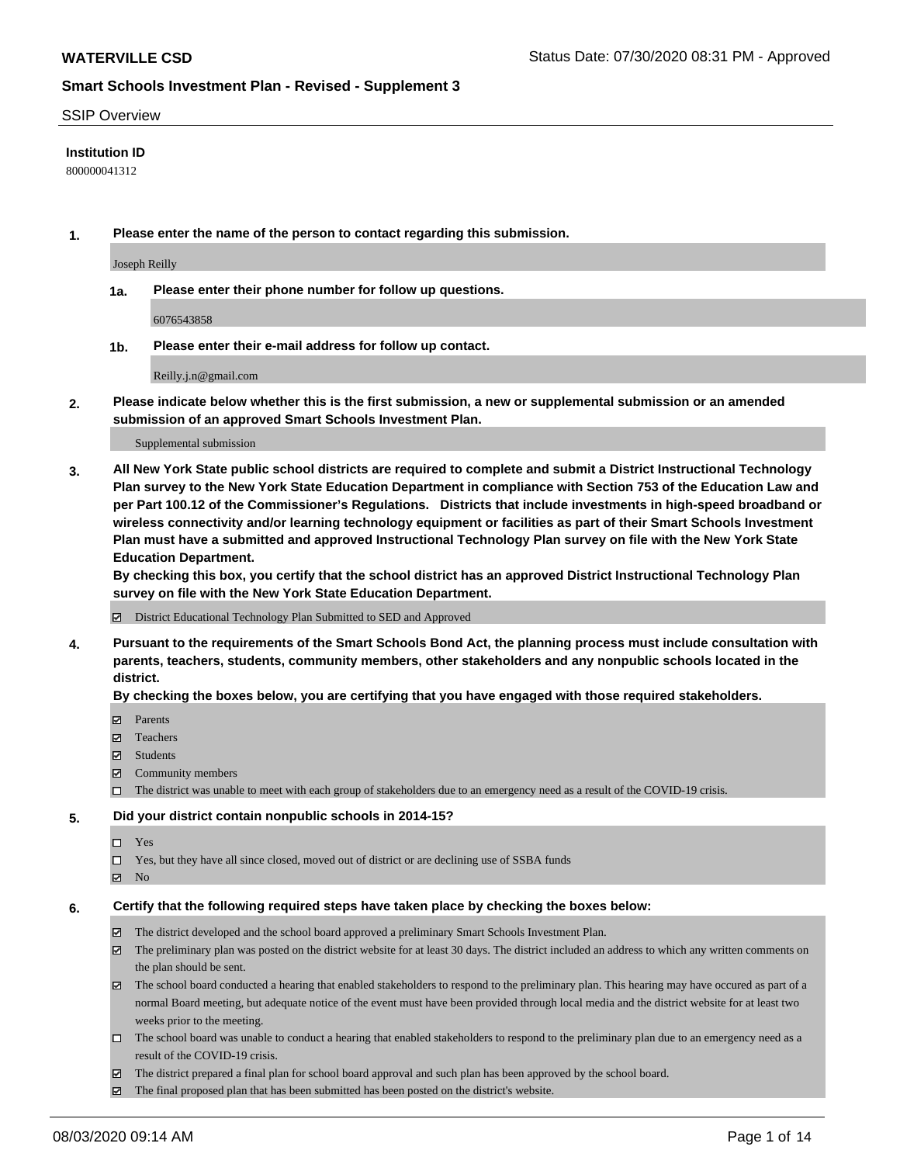#### SSIP Overview

#### **Institution ID**

800000041312

**1. Please enter the name of the person to contact regarding this submission.**

Joseph Reilly

**1a. Please enter their phone number for follow up questions.**

6076543858

**1b. Please enter their e-mail address for follow up contact.**

Reilly.j.n@gmail.com

**2. Please indicate below whether this is the first submission, a new or supplemental submission or an amended submission of an approved Smart Schools Investment Plan.**

#### Supplemental submission

**3. All New York State public school districts are required to complete and submit a District Instructional Technology Plan survey to the New York State Education Department in compliance with Section 753 of the Education Law and per Part 100.12 of the Commissioner's Regulations. Districts that include investments in high-speed broadband or wireless connectivity and/or learning technology equipment or facilities as part of their Smart Schools Investment Plan must have a submitted and approved Instructional Technology Plan survey on file with the New York State Education Department.** 

**By checking this box, you certify that the school district has an approved District Instructional Technology Plan survey on file with the New York State Education Department.**

District Educational Technology Plan Submitted to SED and Approved

**4. Pursuant to the requirements of the Smart Schools Bond Act, the planning process must include consultation with parents, teachers, students, community members, other stakeholders and any nonpublic schools located in the district.** 

#### **By checking the boxes below, you are certifying that you have engaged with those required stakeholders.**

- **□** Parents
- Teachers
- Students
- $\boxtimes$  Community members
- The district was unable to meet with each group of stakeholders due to an emergency need as a result of the COVID-19 crisis.

#### **5. Did your district contain nonpublic schools in 2014-15?**

- $\neg$  Yes
- Yes, but they have all since closed, moved out of district or are declining use of SSBA funds
- **Z** No

#### **6. Certify that the following required steps have taken place by checking the boxes below:**

- The district developed and the school board approved a preliminary Smart Schools Investment Plan.
- $\boxtimes$  The preliminary plan was posted on the district website for at least 30 days. The district included an address to which any written comments on the plan should be sent.
- $\boxtimes$  The school board conducted a hearing that enabled stakeholders to respond to the preliminary plan. This hearing may have occured as part of a normal Board meeting, but adequate notice of the event must have been provided through local media and the district website for at least two weeks prior to the meeting.
- The school board was unable to conduct a hearing that enabled stakeholders to respond to the preliminary plan due to an emergency need as a result of the COVID-19 crisis.
- The district prepared a final plan for school board approval and such plan has been approved by the school board.
- $\boxtimes$  The final proposed plan that has been submitted has been posted on the district's website.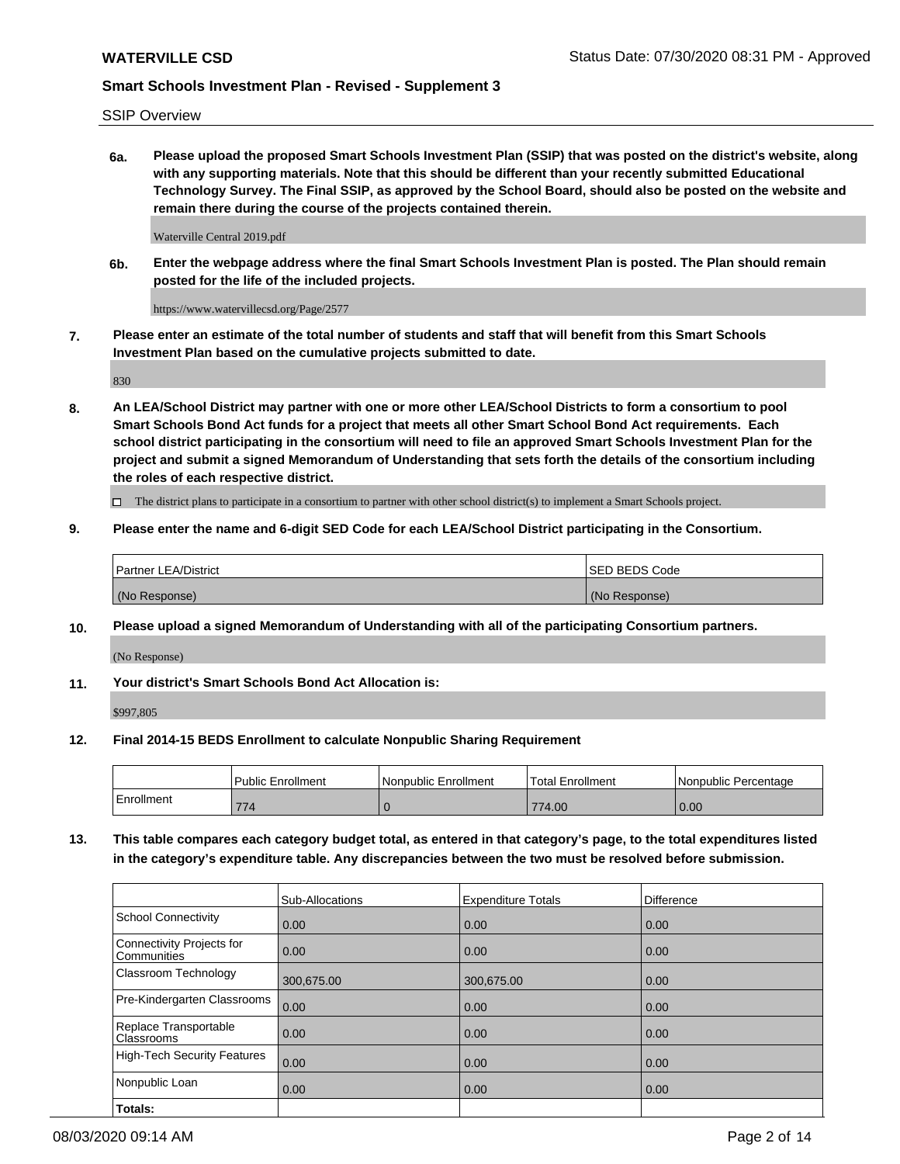SSIP Overview

**6a. Please upload the proposed Smart Schools Investment Plan (SSIP) that was posted on the district's website, along with any supporting materials. Note that this should be different than your recently submitted Educational Technology Survey. The Final SSIP, as approved by the School Board, should also be posted on the website and remain there during the course of the projects contained therein.**

Waterville Central 2019.pdf

**6b. Enter the webpage address where the final Smart Schools Investment Plan is posted. The Plan should remain posted for the life of the included projects.**

https://www.watervillecsd.org/Page/2577

**7. Please enter an estimate of the total number of students and staff that will benefit from this Smart Schools Investment Plan based on the cumulative projects submitted to date.**

830

**8. An LEA/School District may partner with one or more other LEA/School Districts to form a consortium to pool Smart Schools Bond Act funds for a project that meets all other Smart School Bond Act requirements. Each school district participating in the consortium will need to file an approved Smart Schools Investment Plan for the project and submit a signed Memorandum of Understanding that sets forth the details of the consortium including the roles of each respective district.**

 $\Box$  The district plans to participate in a consortium to partner with other school district(s) to implement a Smart Schools project.

### **9. Please enter the name and 6-digit SED Code for each LEA/School District participating in the Consortium.**

| Partner LEA/District | <b>ISED BEDS Code</b> |
|----------------------|-----------------------|
| (No Response)        | (No Response)         |

#### **10. Please upload a signed Memorandum of Understanding with all of the participating Consortium partners.**

(No Response)

**11. Your district's Smart Schools Bond Act Allocation is:**

\$997,805

#### **12. Final 2014-15 BEDS Enrollment to calculate Nonpublic Sharing Requirement**

|            | <b>Public Enrollment</b> | Nonpublic Enrollment | Total Enrollment | l Nonpublic Percentage |
|------------|--------------------------|----------------------|------------------|------------------------|
| Enrollment | 774                      |                      | 774.00           | 0.00                   |

**13. This table compares each category budget total, as entered in that category's page, to the total expenditures listed in the category's expenditure table. Any discrepancies between the two must be resolved before submission.**

|                                          | Sub-Allocations | <b>Expenditure Totals</b> | Difference |
|------------------------------------------|-----------------|---------------------------|------------|
| <b>School Connectivity</b>               | 0.00            | 0.00                      | 0.00       |
| Connectivity Projects for<br>Communities | 0.00            | 0.00                      | 0.00       |
| Classroom Technology                     | 300,675.00      | 300,675.00                | 0.00       |
| Pre-Kindergarten Classrooms              | 0.00            | 0.00                      | 0.00       |
| Replace Transportable<br>Classrooms      | 0.00            | 0.00                      | 0.00       |
| <b>High-Tech Security Features</b>       | 0.00            | 0.00                      | 0.00       |
| Nonpublic Loan                           | 0.00            | 0.00                      | 0.00       |
| Totals:                                  |                 |                           |            |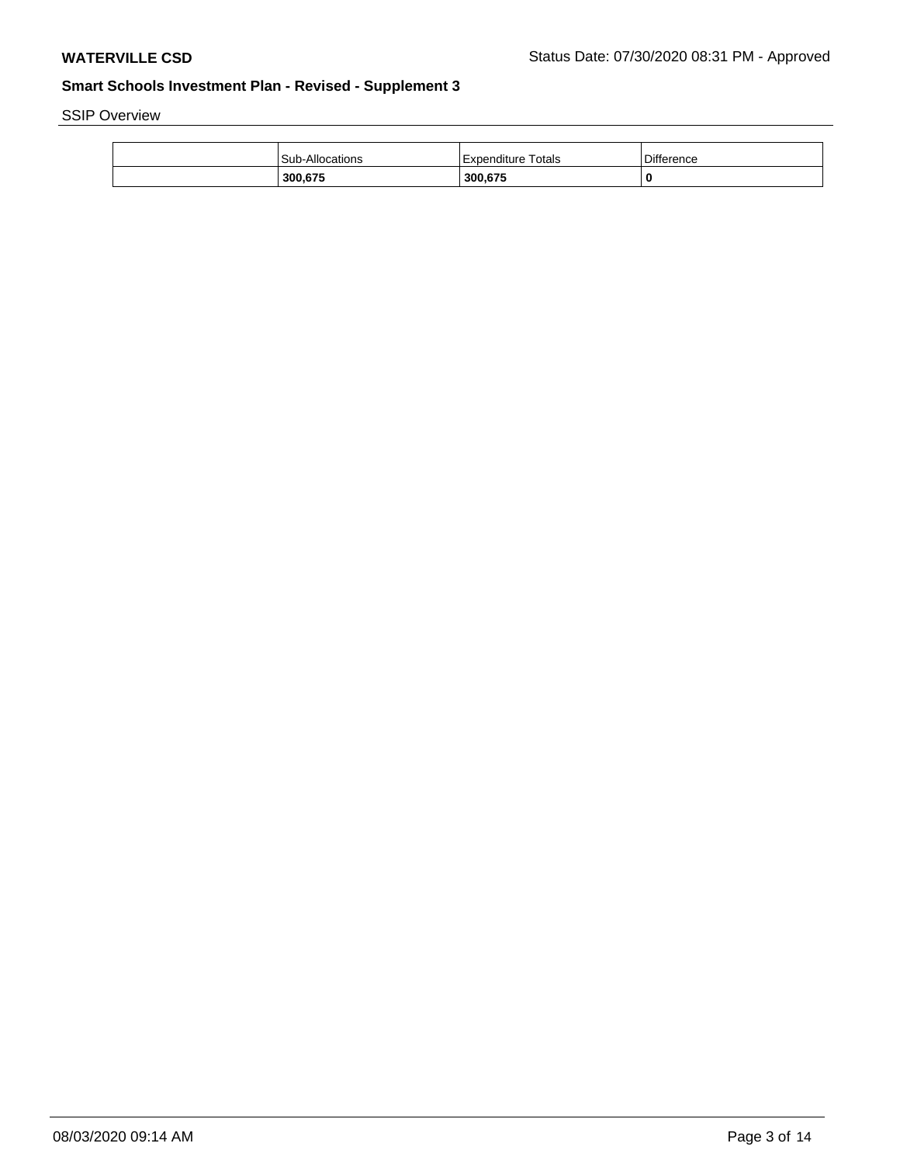SSIP Overview

| <b>Sub-Allocations</b> | Expenditure Totals | Difference |
|------------------------|--------------------|------------|
| 300,675                | 300.675            | 0          |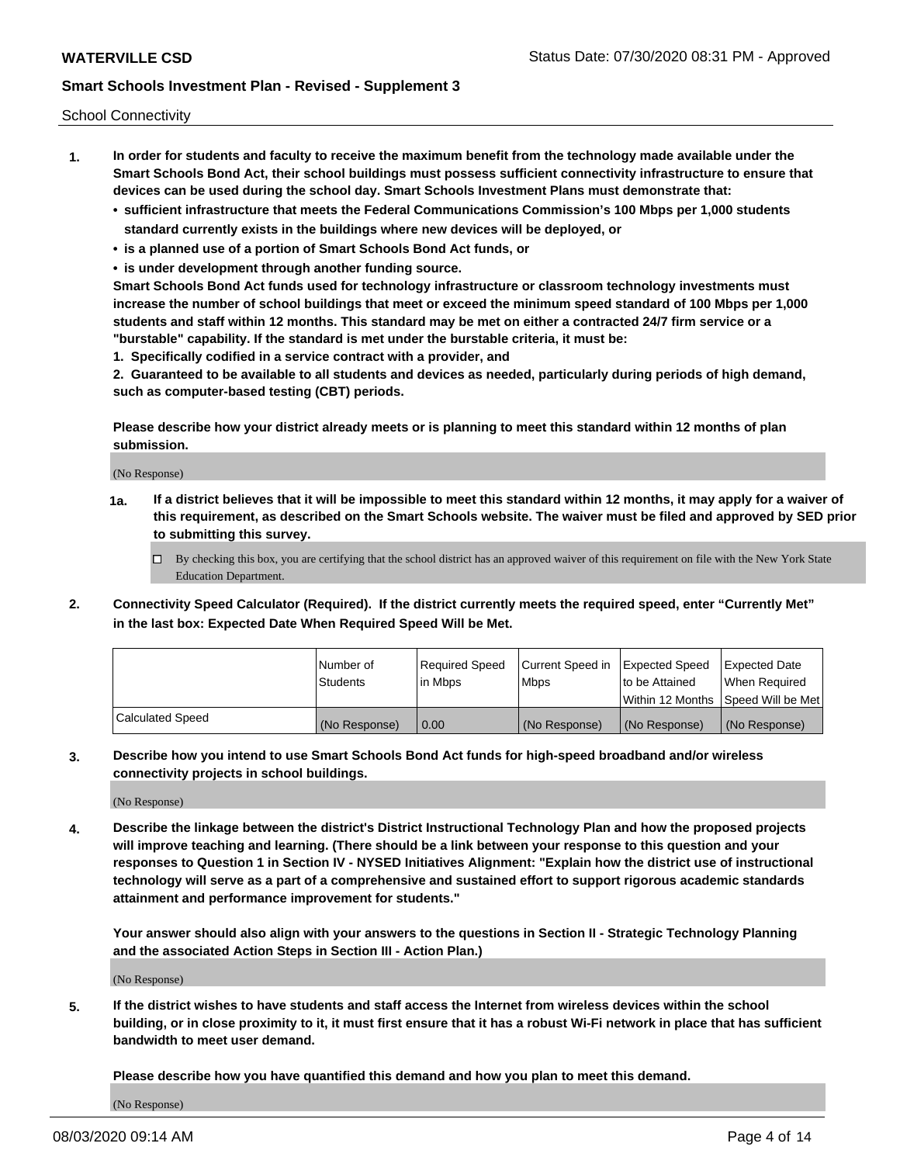School Connectivity

- **1. In order for students and faculty to receive the maximum benefit from the technology made available under the Smart Schools Bond Act, their school buildings must possess sufficient connectivity infrastructure to ensure that devices can be used during the school day. Smart Schools Investment Plans must demonstrate that:**
	- **• sufficient infrastructure that meets the Federal Communications Commission's 100 Mbps per 1,000 students standard currently exists in the buildings where new devices will be deployed, or**
	- **• is a planned use of a portion of Smart Schools Bond Act funds, or**
	- **• is under development through another funding source.**

**Smart Schools Bond Act funds used for technology infrastructure or classroom technology investments must increase the number of school buildings that meet or exceed the minimum speed standard of 100 Mbps per 1,000 students and staff within 12 months. This standard may be met on either a contracted 24/7 firm service or a "burstable" capability. If the standard is met under the burstable criteria, it must be:**

**1. Specifically codified in a service contract with a provider, and**

**2. Guaranteed to be available to all students and devices as needed, particularly during periods of high demand, such as computer-based testing (CBT) periods.**

**Please describe how your district already meets or is planning to meet this standard within 12 months of plan submission.**

(No Response)

**1a. If a district believes that it will be impossible to meet this standard within 12 months, it may apply for a waiver of this requirement, as described on the Smart Schools website. The waiver must be filed and approved by SED prior to submitting this survey.**

 $\Box$  By checking this box, you are certifying that the school district has an approved waiver of this requirement on file with the New York State Education Department.

**2. Connectivity Speed Calculator (Required). If the district currently meets the required speed, enter "Currently Met" in the last box: Expected Date When Required Speed Will be Met.**

|                  | l Number of     | Required Speed | Current Speed in | Expected Speed  | Expected Date                           |
|------------------|-----------------|----------------|------------------|-----------------|-----------------------------------------|
|                  | <b>Students</b> | In Mbps        | l Mbps           | to be Attained  | When Required                           |
|                  |                 |                |                  |                 | l Within 12 Months ISpeed Will be Met l |
| Calculated Speed | (No Response)   | 0.00           | (No Response)    | l (No Response) | l (No Response)                         |

**3. Describe how you intend to use Smart Schools Bond Act funds for high-speed broadband and/or wireless connectivity projects in school buildings.**

(No Response)

**4. Describe the linkage between the district's District Instructional Technology Plan and how the proposed projects will improve teaching and learning. (There should be a link between your response to this question and your responses to Question 1 in Section IV - NYSED Initiatives Alignment: "Explain how the district use of instructional technology will serve as a part of a comprehensive and sustained effort to support rigorous academic standards attainment and performance improvement for students."** 

**Your answer should also align with your answers to the questions in Section II - Strategic Technology Planning and the associated Action Steps in Section III - Action Plan.)**

(No Response)

**5. If the district wishes to have students and staff access the Internet from wireless devices within the school building, or in close proximity to it, it must first ensure that it has a robust Wi-Fi network in place that has sufficient bandwidth to meet user demand.**

**Please describe how you have quantified this demand and how you plan to meet this demand.**

(No Response)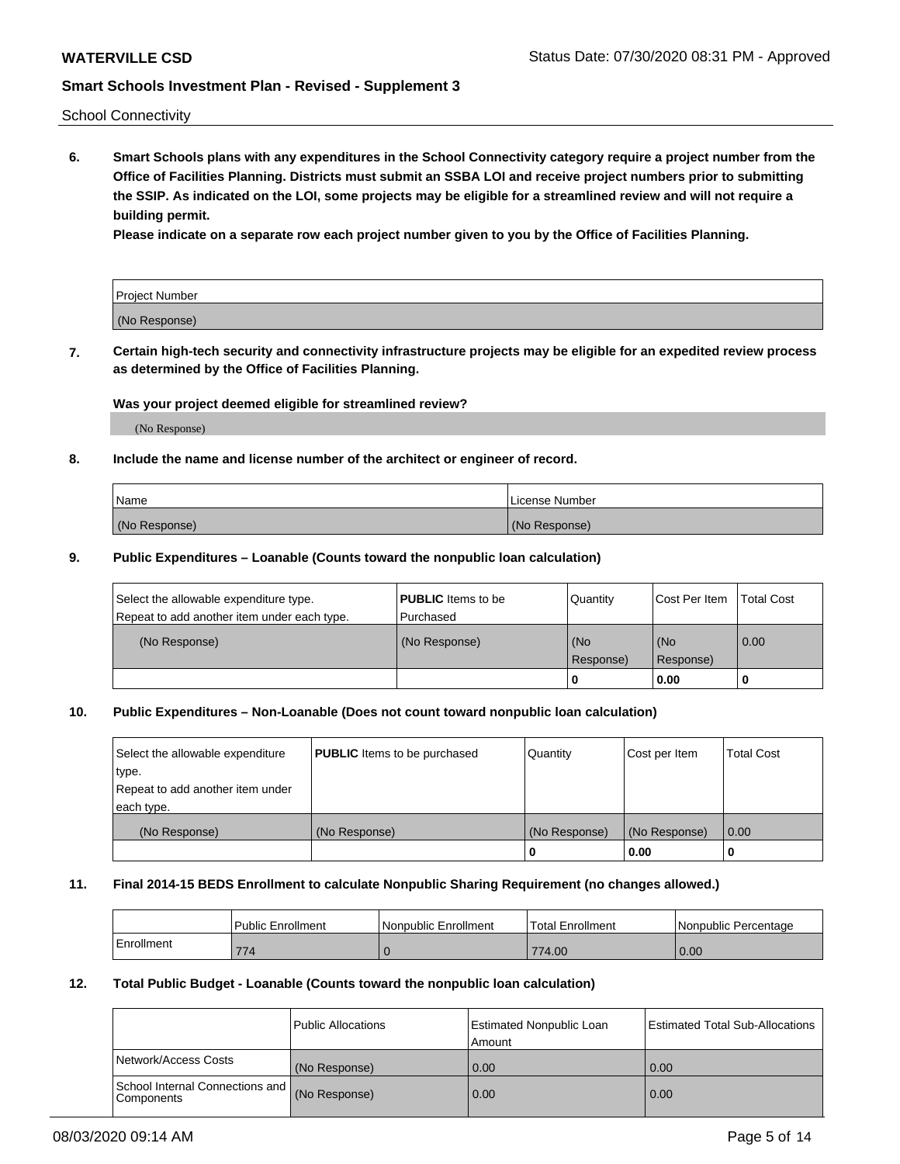School Connectivity

**6. Smart Schools plans with any expenditures in the School Connectivity category require a project number from the Office of Facilities Planning. Districts must submit an SSBA LOI and receive project numbers prior to submitting the SSIP. As indicated on the LOI, some projects may be eligible for a streamlined review and will not require a building permit.**

**Please indicate on a separate row each project number given to you by the Office of Facilities Planning.**

| Project Number |  |
|----------------|--|
| (No Response)  |  |

**7. Certain high-tech security and connectivity infrastructure projects may be eligible for an expedited review process as determined by the Office of Facilities Planning.**

#### **Was your project deemed eligible for streamlined review?**

(No Response)

#### **8. Include the name and license number of the architect or engineer of record.**

| Name          | License Number |
|---------------|----------------|
| (No Response) | (No Response)  |

#### **9. Public Expenditures – Loanable (Counts toward the nonpublic loan calculation)**

| Select the allowable expenditure type.<br>Repeat to add another item under each type. | <b>PUBLIC</b> Items to be<br>l Purchased | Quantity           | Cost Per Item    | <b>Total Cost</b> |
|---------------------------------------------------------------------------------------|------------------------------------------|--------------------|------------------|-------------------|
| (No Response)                                                                         | (No Response)                            | l (No<br>Response) | (No<br>Response) | $\overline{0.00}$ |
|                                                                                       |                                          | O                  | 0.00             |                   |

### **10. Public Expenditures – Non-Loanable (Does not count toward nonpublic loan calculation)**

| Select the allowable expenditure<br>type.<br>Repeat to add another item under<br>each type. | <b>PUBLIC</b> Items to be purchased | Quantity      | Cost per Item | <b>Total Cost</b> |
|---------------------------------------------------------------------------------------------|-------------------------------------|---------------|---------------|-------------------|
| (No Response)                                                                               | (No Response)                       | (No Response) | (No Response) | 0.00              |
|                                                                                             |                                     |               | 0.00          |                   |

#### **11. Final 2014-15 BEDS Enrollment to calculate Nonpublic Sharing Requirement (no changes allowed.)**

|            | Public Enrollment | Nonpublic Enrollment | 'Total Enrollment | l Nonpublic Percentage |
|------------|-------------------|----------------------|-------------------|------------------------|
| Enrollment | 774               |                      | 774.00            | 0.00                   |

#### **12. Total Public Budget - Loanable (Counts toward the nonpublic loan calculation)**

|                                                      | Public Allocations | <b>Estimated Nonpublic Loan</b><br>Amount | Estimated Total Sub-Allocations |
|------------------------------------------------------|--------------------|-------------------------------------------|---------------------------------|
| Network/Access Costs                                 | (No Response)      | 0.00                                      | 0.00                            |
| School Internal Connections and<br><b>Components</b> | (No Response)      | 0.00                                      | 0.00                            |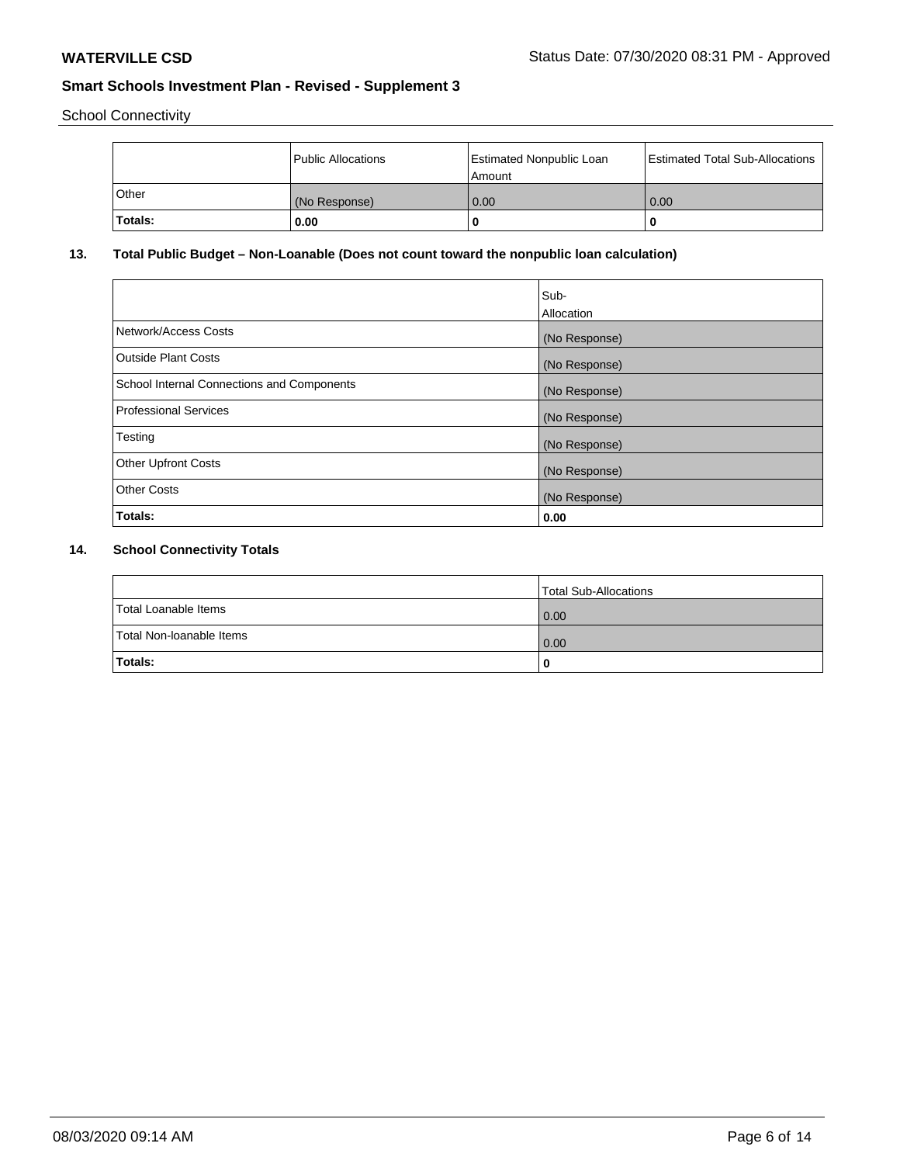School Connectivity

|         | Public Allocations | <b>Estimated Nonpublic Loan</b><br>l Amount | <b>Estimated Total Sub-Allocations</b> |
|---------|--------------------|---------------------------------------------|----------------------------------------|
| l Other | (No Response)      | 0.00                                        | 0.00                                   |
| Totals: | 0.00               | 0                                           |                                        |

## **13. Total Public Budget – Non-Loanable (Does not count toward the nonpublic loan calculation)**

|                                                   | Sub-<br>Allocation |
|---------------------------------------------------|--------------------|
| Network/Access Costs                              | (No Response)      |
| Outside Plant Costs                               | (No Response)      |
| <b>School Internal Connections and Components</b> | (No Response)      |
| Professional Services                             | (No Response)      |
| Testing                                           | (No Response)      |
| <b>Other Upfront Costs</b>                        | (No Response)      |
| <b>Other Costs</b>                                | (No Response)      |
| Totals:                                           | 0.00               |

# **14. School Connectivity Totals**

|                          | Total Sub-Allocations |
|--------------------------|-----------------------|
| Total Loanable Items     | $\overline{0.00}$     |
| Total Non-Ioanable Items | $\overline{0.00}$     |
| Totals:                  |                       |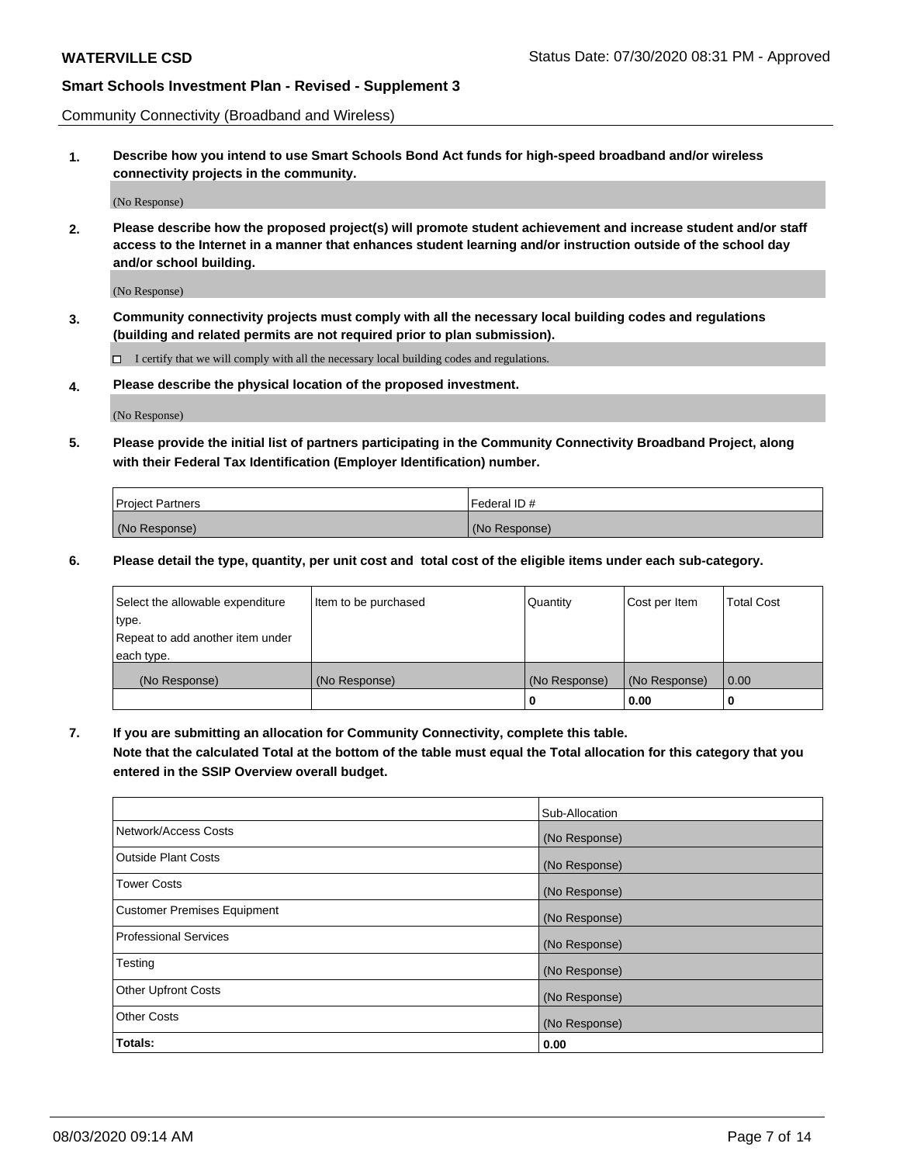Community Connectivity (Broadband and Wireless)

**1. Describe how you intend to use Smart Schools Bond Act funds for high-speed broadband and/or wireless connectivity projects in the community.**

(No Response)

**2. Please describe how the proposed project(s) will promote student achievement and increase student and/or staff access to the Internet in a manner that enhances student learning and/or instruction outside of the school day and/or school building.**

(No Response)

**3. Community connectivity projects must comply with all the necessary local building codes and regulations (building and related permits are not required prior to plan submission).**

 $\Box$  I certify that we will comply with all the necessary local building codes and regulations.

**4. Please describe the physical location of the proposed investment.**

(No Response)

**5. Please provide the initial list of partners participating in the Community Connectivity Broadband Project, along with their Federal Tax Identification (Employer Identification) number.**

| <b>Project Partners</b> | l Federal ID # |
|-------------------------|----------------|
| (No Response)           | (No Response)  |

**6. Please detail the type, quantity, per unit cost and total cost of the eligible items under each sub-category.**

| Select the allowable expenditure | Item to be purchased | Quantity      | Cost per Item | <b>Total Cost</b> |
|----------------------------------|----------------------|---------------|---------------|-------------------|
| type.                            |                      |               |               |                   |
| Repeat to add another item under |                      |               |               |                   |
| each type.                       |                      |               |               |                   |
| (No Response)                    | (No Response)        | (No Response) | (No Response) | 0.00              |
|                                  |                      | o             | 0.00          |                   |

**7. If you are submitting an allocation for Community Connectivity, complete this table.**

**Note that the calculated Total at the bottom of the table must equal the Total allocation for this category that you entered in the SSIP Overview overall budget.**

|                                    | Sub-Allocation |
|------------------------------------|----------------|
| Network/Access Costs               | (No Response)  |
| Outside Plant Costs                | (No Response)  |
| <b>Tower Costs</b>                 | (No Response)  |
| <b>Customer Premises Equipment</b> | (No Response)  |
| <b>Professional Services</b>       | (No Response)  |
| Testing                            | (No Response)  |
| <b>Other Upfront Costs</b>         | (No Response)  |
| <b>Other Costs</b>                 | (No Response)  |
| Totals:                            | 0.00           |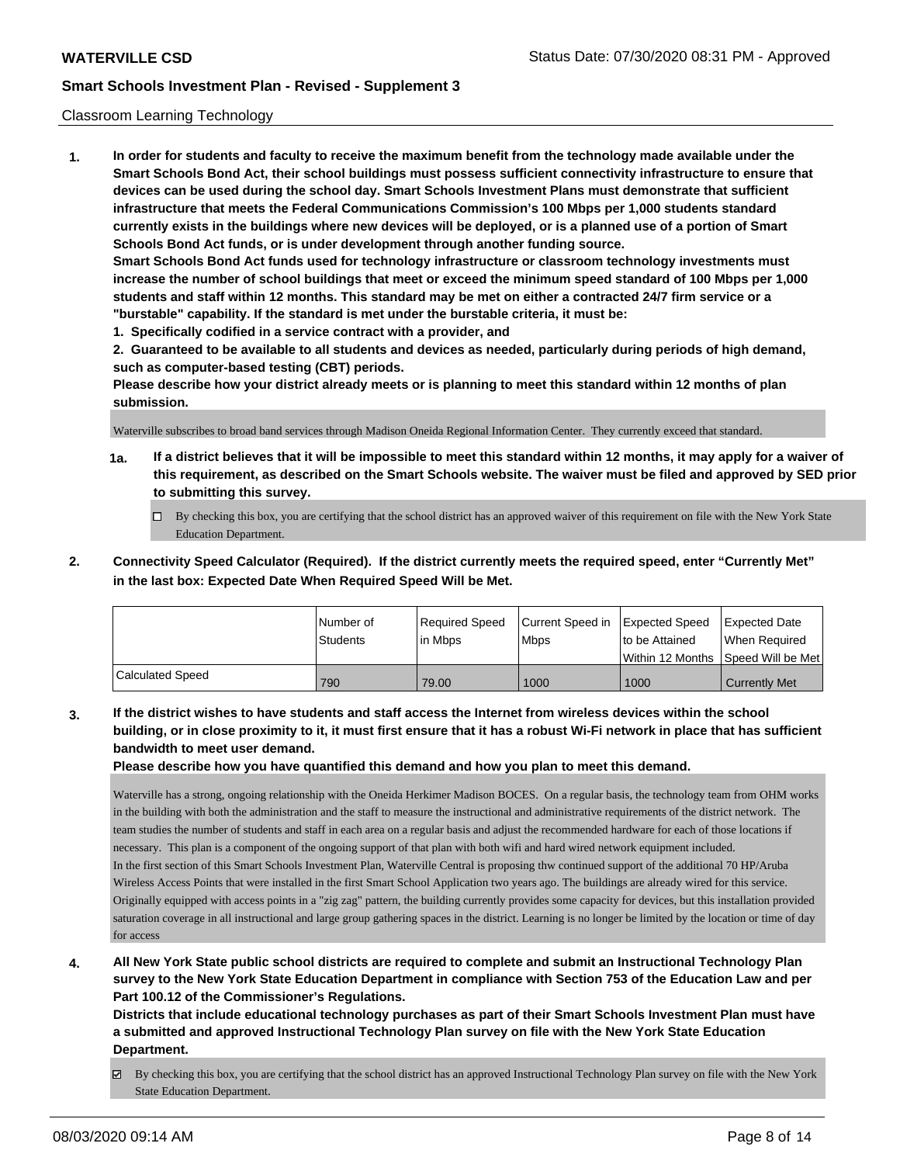#### Classroom Learning Technology

**1. In order for students and faculty to receive the maximum benefit from the technology made available under the Smart Schools Bond Act, their school buildings must possess sufficient connectivity infrastructure to ensure that devices can be used during the school day. Smart Schools Investment Plans must demonstrate that sufficient infrastructure that meets the Federal Communications Commission's 100 Mbps per 1,000 students standard currently exists in the buildings where new devices will be deployed, or is a planned use of a portion of Smart Schools Bond Act funds, or is under development through another funding source. Smart Schools Bond Act funds used for technology infrastructure or classroom technology investments must increase the number of school buildings that meet or exceed the minimum speed standard of 100 Mbps per 1,000 students and staff within 12 months. This standard may be met on either a contracted 24/7 firm service or a "burstable" capability. If the standard is met under the burstable criteria, it must be: 1. Specifically codified in a service contract with a provider, and**

**2. Guaranteed to be available to all students and devices as needed, particularly during periods of high demand, such as computer-based testing (CBT) periods.**

**Please describe how your district already meets or is planning to meet this standard within 12 months of plan submission.**

Waterville subscribes to broad band services through Madison Oneida Regional Information Center. They currently exceed that standard.

- **1a. If a district believes that it will be impossible to meet this standard within 12 months, it may apply for a waiver of this requirement, as described on the Smart Schools website. The waiver must be filed and approved by SED prior to submitting this survey.**
	- By checking this box, you are certifying that the school district has an approved waiver of this requirement on file with the New York State Education Department.
- **2. Connectivity Speed Calculator (Required). If the district currently meets the required speed, enter "Currently Met" in the last box: Expected Date When Required Speed Will be Met.**

|                         | l Number of     | Required Speed | Current Speed in | <b>Expected Speed</b> | <b>Expected Date</b>                    |
|-------------------------|-----------------|----------------|------------------|-----------------------|-----------------------------------------|
|                         | <b>Students</b> | lin Mbps       | <b>Mbps</b>      | to be Attained        | When Required                           |
|                         |                 |                |                  |                       | l Within 12 Months ISpeed Will be Met l |
| <b>Calculated Speed</b> | 790             | 79.00          | 1000             | 1000                  | <b>Currently Met</b>                    |

**3. If the district wishes to have students and staff access the Internet from wireless devices within the school building, or in close proximity to it, it must first ensure that it has a robust Wi-Fi network in place that has sufficient bandwidth to meet user demand.**

**Please describe how you have quantified this demand and how you plan to meet this demand.**

Waterville has a strong, ongoing relationship with the Oneida Herkimer Madison BOCES. On a regular basis, the technology team from OHM works in the building with both the administration and the staff to measure the instructional and administrative requirements of the district network. The team studies the number of students and staff in each area on a regular basis and adjust the recommended hardware for each of those locations if necessary. This plan is a component of the ongoing support of that plan with both wifi and hard wired network equipment included. In the first section of this Smart Schools Investment Plan, Waterville Central is proposing thw continued support of the additional 70 HP/Aruba Wireless Access Points that were installed in the first Smart School Application two years ago. The buildings are already wired for this service. Originally equipped with access points in a "zig zag" pattern, the building currently provides some capacity for devices, but this installation provided saturation coverage in all instructional and large group gathering spaces in the district. Learning is no longer be limited by the location or time of day for access

**4. All New York State public school districts are required to complete and submit an Instructional Technology Plan survey to the New York State Education Department in compliance with Section 753 of the Education Law and per Part 100.12 of the Commissioner's Regulations.**

**Districts that include educational technology purchases as part of their Smart Schools Investment Plan must have a submitted and approved Instructional Technology Plan survey on file with the New York State Education Department.**

By checking this box, you are certifying that the school district has an approved Instructional Technology Plan survey on file with the New York State Education Department.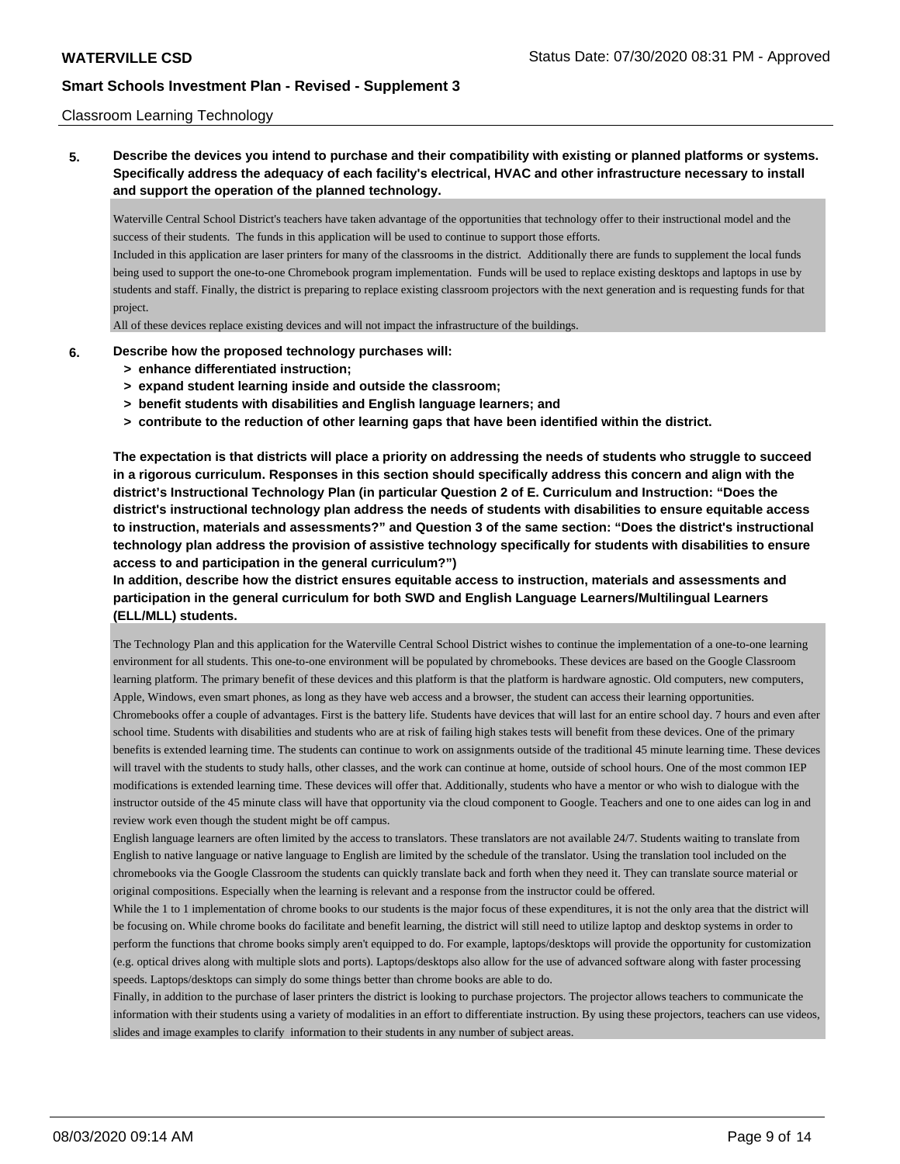#### Classroom Learning Technology

**5. Describe the devices you intend to purchase and their compatibility with existing or planned platforms or systems. Specifically address the adequacy of each facility's electrical, HVAC and other infrastructure necessary to install and support the operation of the planned technology.**

Waterville Central School District's teachers have taken advantage of the opportunities that technology offer to their instructional model and the success of their students. The funds in this application will be used to continue to support those efforts.

Included in this application are laser printers for many of the classrooms in the district. Additionally there are funds to supplement the local funds being used to support the one-to-one Chromebook program implementation. Funds will be used to replace existing desktops and laptops in use by students and staff. Finally, the district is preparing to replace existing classroom projectors with the next generation and is requesting funds for that project.

All of these devices replace existing devices and will not impact the infrastructure of the buildings.

#### **6. Describe how the proposed technology purchases will:**

- **> enhance differentiated instruction;**
- **> expand student learning inside and outside the classroom;**
- **> benefit students with disabilities and English language learners; and**
- **> contribute to the reduction of other learning gaps that have been identified within the district.**

**The expectation is that districts will place a priority on addressing the needs of students who struggle to succeed in a rigorous curriculum. Responses in this section should specifically address this concern and align with the district's Instructional Technology Plan (in particular Question 2 of E. Curriculum and Instruction: "Does the district's instructional technology plan address the needs of students with disabilities to ensure equitable access to instruction, materials and assessments?" and Question 3 of the same section: "Does the district's instructional technology plan address the provision of assistive technology specifically for students with disabilities to ensure access to and participation in the general curriculum?")**

### **In addition, describe how the district ensures equitable access to instruction, materials and assessments and participation in the general curriculum for both SWD and English Language Learners/Multilingual Learners (ELL/MLL) students.**

The Technology Plan and this application for the Waterville Central School District wishes to continue the implementation of a one-to-one learning environment for all students. This one-to-one environment will be populated by chromebooks. These devices are based on the Google Classroom learning platform. The primary benefit of these devices and this platform is that the platform is hardware agnostic. Old computers, new computers, Apple, Windows, even smart phones, as long as they have web access and a browser, the student can access their learning opportunities. Chromebooks offer a couple of advantages. First is the battery life. Students have devices that will last for an entire school day. 7 hours and even after school time. Students with disabilities and students who are at risk of failing high stakes tests will benefit from these devices. One of the primary benefits is extended learning time. The students can continue to work on assignments outside of the traditional 45 minute learning time. These devices will travel with the students to study halls, other classes, and the work can continue at home, outside of school hours. One of the most common IEP modifications is extended learning time. These devices will offer that. Additionally, students who have a mentor or who wish to dialogue with the instructor outside of the 45 minute class will have that opportunity via the cloud component to Google. Teachers and one to one aides can log in and review work even though the student might be off campus.

English language learners are often limited by the access to translators. These translators are not available 24/7. Students waiting to translate from English to native language or native language to English are limited by the schedule of the translator. Using the translation tool included on the chromebooks via the Google Classroom the students can quickly translate back and forth when they need it. They can translate source material or original compositions. Especially when the learning is relevant and a response from the instructor could be offered.

While the 1 to 1 implementation of chrome books to our students is the major focus of these expenditures, it is not the only area that the district will be focusing on. While chrome books do facilitate and benefit learning, the district will still need to utilize laptop and desktop systems in order to perform the functions that chrome books simply aren't equipped to do. For example, laptops/desktops will provide the opportunity for customization (e.g. optical drives along with multiple slots and ports). Laptops/desktops also allow for the use of advanced software along with faster processing speeds. Laptops/desktops can simply do some things better than chrome books are able to do.

Finally, in addition to the purchase of laser printers the district is looking to purchase projectors. The projector allows teachers to communicate the information with their students using a variety of modalities in an effort to differentiate instruction. By using these projectors, teachers can use videos, slides and image examples to clarify information to their students in any number of subject areas.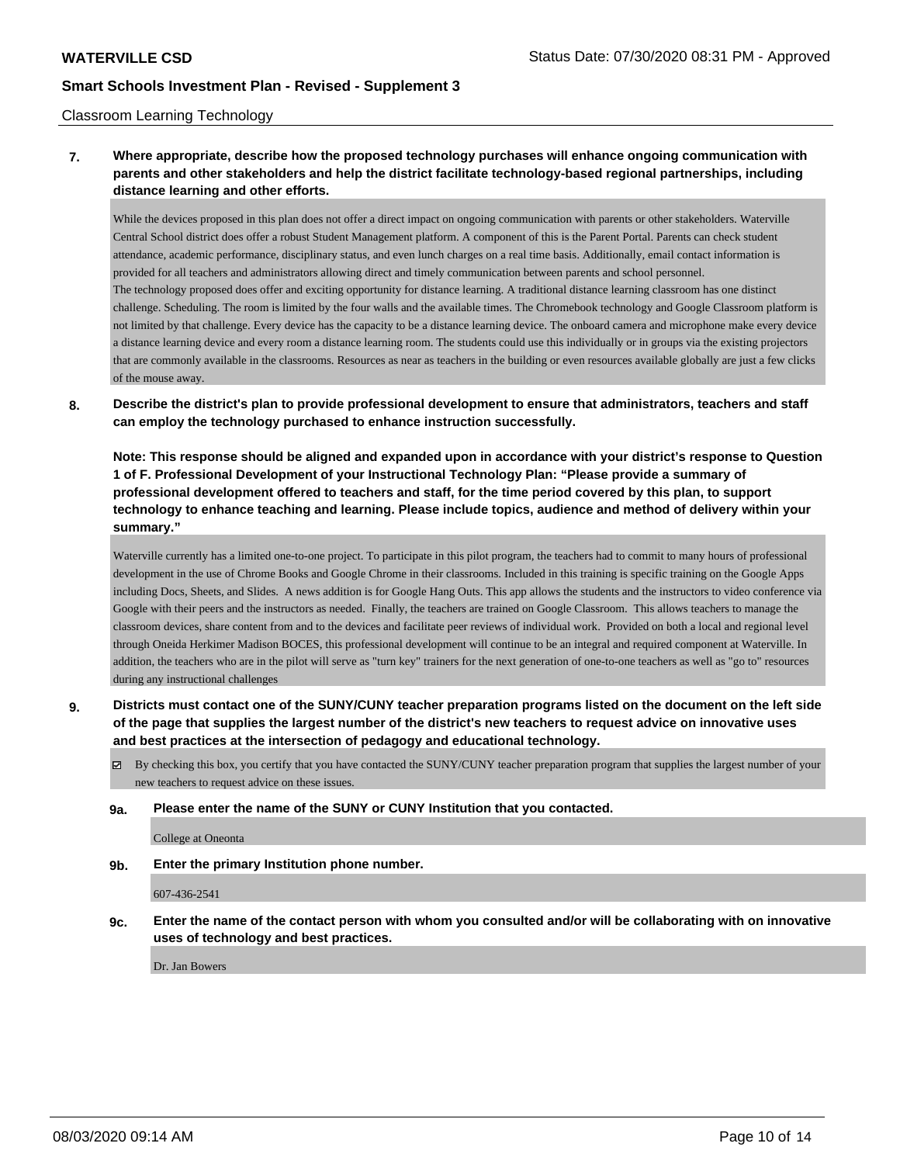#### Classroom Learning Technology

### **7. Where appropriate, describe how the proposed technology purchases will enhance ongoing communication with parents and other stakeholders and help the district facilitate technology-based regional partnerships, including distance learning and other efforts.**

While the devices proposed in this plan does not offer a direct impact on ongoing communication with parents or other stakeholders. Waterville Central School district does offer a robust Student Management platform. A component of this is the Parent Portal. Parents can check student attendance, academic performance, disciplinary status, and even lunch charges on a real time basis. Additionally, email contact information is provided for all teachers and administrators allowing direct and timely communication between parents and school personnel. The technology proposed does offer and exciting opportunity for distance learning. A traditional distance learning classroom has one distinct challenge. Scheduling. The room is limited by the four walls and the available times. The Chromebook technology and Google Classroom platform is not limited by that challenge. Every device has the capacity to be a distance learning device. The onboard camera and microphone make every device a distance learning device and every room a distance learning room. The students could use this individually or in groups via the existing projectors that are commonly available in the classrooms. Resources as near as teachers in the building or even resources available globally are just a few clicks of the mouse away.

**8. Describe the district's plan to provide professional development to ensure that administrators, teachers and staff can employ the technology purchased to enhance instruction successfully.**

**Note: This response should be aligned and expanded upon in accordance with your district's response to Question 1 of F. Professional Development of your Instructional Technology Plan: "Please provide a summary of professional development offered to teachers and staff, for the time period covered by this plan, to support technology to enhance teaching and learning. Please include topics, audience and method of delivery within your summary."**

Waterville currently has a limited one-to-one project. To participate in this pilot program, the teachers had to commit to many hours of professional development in the use of Chrome Books and Google Chrome in their classrooms. Included in this training is specific training on the Google Apps including Docs, Sheets, and Slides. A news addition is for Google Hang Outs. This app allows the students and the instructors to video conference via Google with their peers and the instructors as needed. Finally, the teachers are trained on Google Classroom. This allows teachers to manage the classroom devices, share content from and to the devices and facilitate peer reviews of individual work. Provided on both a local and regional level through Oneida Herkimer Madison BOCES, this professional development will continue to be an integral and required component at Waterville. In addition, the teachers who are in the pilot will serve as "turn key" trainers for the next generation of one-to-one teachers as well as "go to" resources during any instructional challenges

**9. Districts must contact one of the SUNY/CUNY teacher preparation programs listed on the document on the left side of the page that supplies the largest number of the district's new teachers to request advice on innovative uses and best practices at the intersection of pedagogy and educational technology.**

 $\boxtimes$  By checking this box, you certify that you have contacted the SUNY/CUNY teacher preparation program that supplies the largest number of your new teachers to request advice on these issues.

**9a. Please enter the name of the SUNY or CUNY Institution that you contacted.**

College at Oneonta

**9b. Enter the primary Institution phone number.**

607-436-2541

**9c. Enter the name of the contact person with whom you consulted and/or will be collaborating with on innovative uses of technology and best practices.**

Dr. Jan Bowers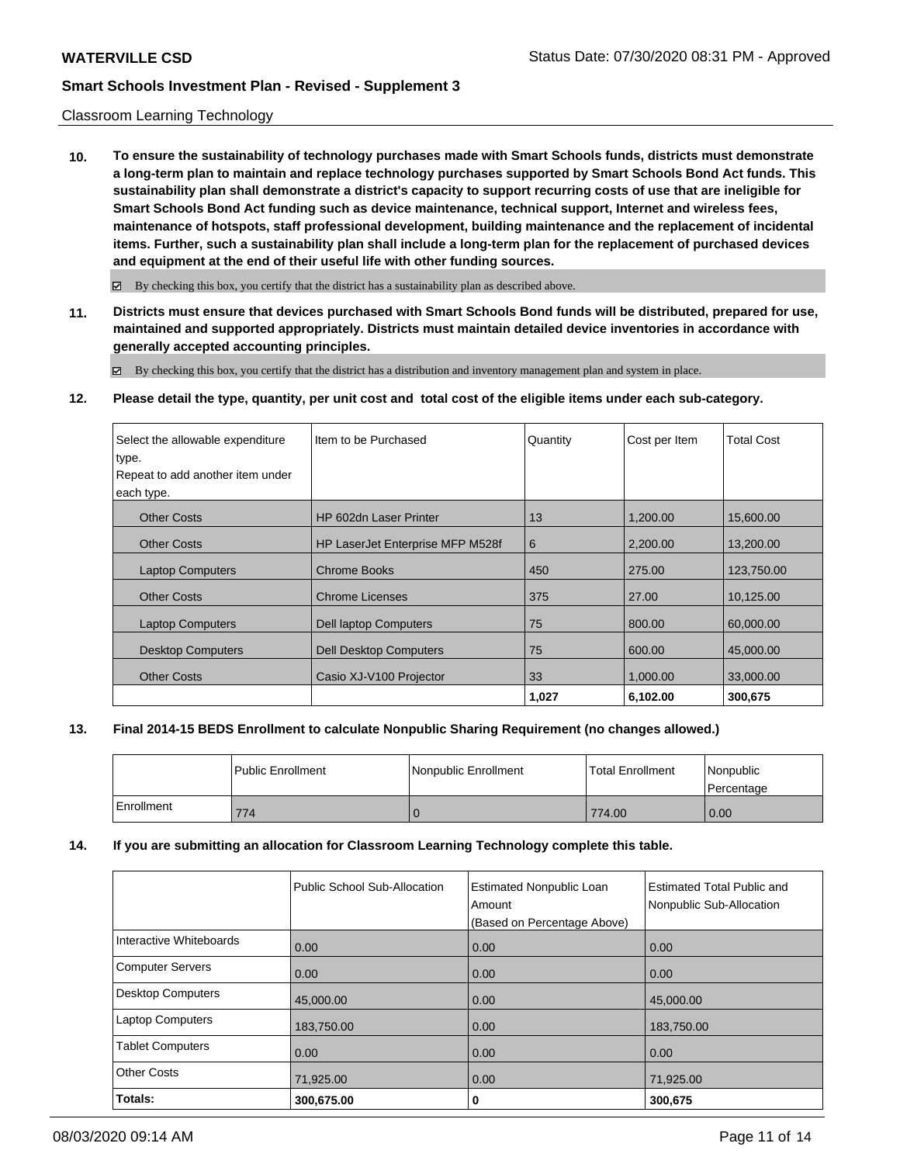#### Classroom Learning Technology

**10. To ensure the sustainability of technology purchases made with Smart Schools funds, districts must demonstrate a long-term plan to maintain and replace technology purchases supported by Smart Schools Bond Act funds. This sustainability plan shall demonstrate a district's capacity to support recurring costs of use that are ineligible for Smart Schools Bond Act funding such as device maintenance, technical support, Internet and wireless fees, maintenance of hotspots, staff professional development, building maintenance and the replacement of incidental items. Further, such a sustainability plan shall include a long-term plan for the replacement of purchased devices and equipment at the end of their useful life with other funding sources.**

 $\boxtimes$  By checking this box, you certify that the district has a sustainability plan as described above.

**11. Districts must ensure that devices purchased with Smart Schools Bond funds will be distributed, prepared for use, maintained and supported appropriately. Districts must maintain detailed device inventories in accordance with generally accepted accounting principles.**

By checking this box, you certify that the district has a distribution and inventory management plan and system in place.

#### **12. Please detail the type, quantity, per unit cost and total cost of the eligible items under each sub-category.**

| Select the allowable expenditure | Item to be Purchased             | Quantity | Cost per Item | <b>Total Cost</b> |
|----------------------------------|----------------------------------|----------|---------------|-------------------|
| type.                            |                                  |          |               |                   |
| Repeat to add another item under |                                  |          |               |                   |
| each type.                       |                                  |          |               |                   |
| <b>Other Costs</b>               | HP 602dn Laser Printer           | 13       | 1,200.00      | 15,600.00         |
| <b>Other Costs</b>               | HP LaserJet Enterprise MFP M528f | 6        | 2.200.00      | 13,200.00         |
| <b>Laptop Computers</b>          | <b>Chrome Books</b>              | 450      | 275.00        | 123,750.00        |
| <b>Other Costs</b>               | <b>Chrome Licenses</b>           | 375      | 27.00         | 10,125.00         |
| <b>Laptop Computers</b>          | <b>Dell laptop Computers</b>     | 75       | 800.00        | 60.000.00         |
| <b>Desktop Computers</b>         | <b>Dell Desktop Computers</b>    | 75       | 600.00        | 45,000.00         |
| <b>Other Costs</b>               | Casio XJ-V100 Projector          | 33       | 1,000.00      | 33,000.00         |
|                                  |                                  | 1,027    | 6,102.00      | 300,675           |

#### **13. Final 2014-15 BEDS Enrollment to calculate Nonpublic Sharing Requirement (no changes allowed.)**

|            | l Public Enrollment | l Nonpublic Enrollment | <b>Total Enrollment</b> | l Nonpublic<br>l Percentage |
|------------|---------------------|------------------------|-------------------------|-----------------------------|
| Enrollment | 774                 |                        | 774.00                  | 0.00                        |

#### **14. If you are submitting an allocation for Classroom Learning Technology complete this table.**

|                         | Public School Sub-Allocation | <b>Estimated Nonpublic Loan</b><br>Amount<br>(Based on Percentage Above) | <b>Estimated Total Public and</b><br>Nonpublic Sub-Allocation |
|-------------------------|------------------------------|--------------------------------------------------------------------------|---------------------------------------------------------------|
| Interactive Whiteboards | 0.00                         | 0.00                                                                     | 0.00                                                          |
| Computer Servers        | 0.00                         | 0.00                                                                     | 0.00                                                          |
| Desktop Computers       | 45,000.00                    | 0.00                                                                     | 45,000.00                                                     |
| Laptop Computers        | 183,750.00                   | 0.00                                                                     | 183,750.00                                                    |
| <b>Tablet Computers</b> | 0.00                         | 0.00                                                                     | 0.00                                                          |
| <b>Other Costs</b>      | 71,925.00                    | 0.00                                                                     | 71,925.00                                                     |
| Totals:                 | 300,675.00                   | 0                                                                        | 300,675                                                       |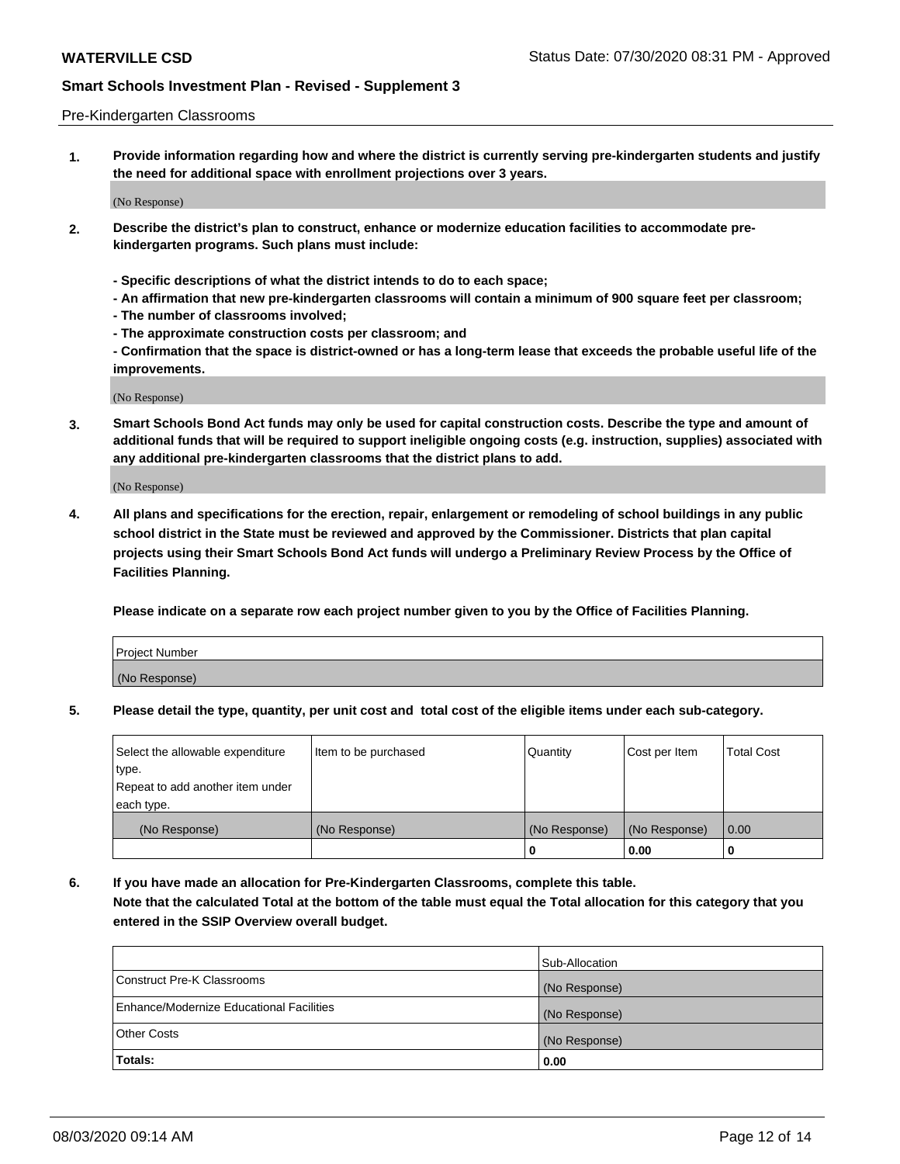#### Pre-Kindergarten Classrooms

**1. Provide information regarding how and where the district is currently serving pre-kindergarten students and justify the need for additional space with enrollment projections over 3 years.**

(No Response)

- **2. Describe the district's plan to construct, enhance or modernize education facilities to accommodate prekindergarten programs. Such plans must include:**
	- **Specific descriptions of what the district intends to do to each space;**
	- **An affirmation that new pre-kindergarten classrooms will contain a minimum of 900 square feet per classroom;**
	- **The number of classrooms involved;**
	- **The approximate construction costs per classroom; and**
	- **Confirmation that the space is district-owned or has a long-term lease that exceeds the probable useful life of the improvements.**

(No Response)

**3. Smart Schools Bond Act funds may only be used for capital construction costs. Describe the type and amount of additional funds that will be required to support ineligible ongoing costs (e.g. instruction, supplies) associated with any additional pre-kindergarten classrooms that the district plans to add.**

(No Response)

**4. All plans and specifications for the erection, repair, enlargement or remodeling of school buildings in any public school district in the State must be reviewed and approved by the Commissioner. Districts that plan capital projects using their Smart Schools Bond Act funds will undergo a Preliminary Review Process by the Office of Facilities Planning.**

**Please indicate on a separate row each project number given to you by the Office of Facilities Planning.**

| Project Number |  |
|----------------|--|
| (No Response)  |  |
|                |  |

**5. Please detail the type, quantity, per unit cost and total cost of the eligible items under each sub-category.**

| Select the allowable expenditure | Item to be purchased | Quantity      | Cost per Item | <b>Total Cost</b> |
|----------------------------------|----------------------|---------------|---------------|-------------------|
| 'type.                           |                      |               |               |                   |
| Repeat to add another item under |                      |               |               |                   |
| each type.                       |                      |               |               |                   |
| (No Response)                    | (No Response)        | (No Response) | (No Response) | 0.00              |
|                                  |                      | U             | 0.00          |                   |

**6. If you have made an allocation for Pre-Kindergarten Classrooms, complete this table. Note that the calculated Total at the bottom of the table must equal the Total allocation for this category that you entered in the SSIP Overview overall budget.**

|                                          | Sub-Allocation |
|------------------------------------------|----------------|
| Construct Pre-K Classrooms               | (No Response)  |
| Enhance/Modernize Educational Facilities | (No Response)  |
| <b>Other Costs</b>                       | (No Response)  |
| Totals:                                  | 0.00           |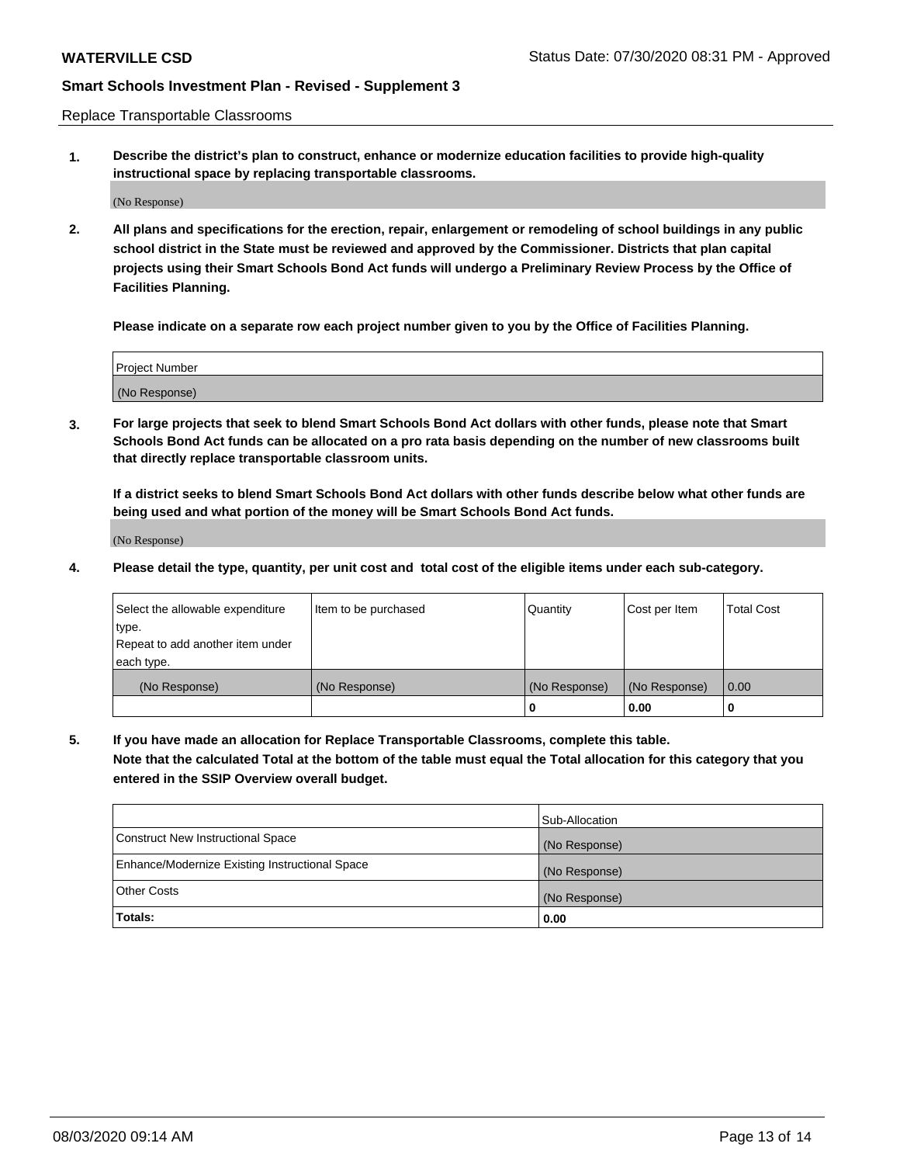Replace Transportable Classrooms

**1. Describe the district's plan to construct, enhance or modernize education facilities to provide high-quality instructional space by replacing transportable classrooms.**

(No Response)

**2. All plans and specifications for the erection, repair, enlargement or remodeling of school buildings in any public school district in the State must be reviewed and approved by the Commissioner. Districts that plan capital projects using their Smart Schools Bond Act funds will undergo a Preliminary Review Process by the Office of Facilities Planning.**

**Please indicate on a separate row each project number given to you by the Office of Facilities Planning.**

| Project Number |  |
|----------------|--|
|                |  |
|                |  |
|                |  |
|                |  |
| (No Response)  |  |
|                |  |
|                |  |
|                |  |

**3. For large projects that seek to blend Smart Schools Bond Act dollars with other funds, please note that Smart Schools Bond Act funds can be allocated on a pro rata basis depending on the number of new classrooms built that directly replace transportable classroom units.**

**If a district seeks to blend Smart Schools Bond Act dollars with other funds describe below what other funds are being used and what portion of the money will be Smart Schools Bond Act funds.**

(No Response)

**4. Please detail the type, quantity, per unit cost and total cost of the eligible items under each sub-category.**

| Select the allowable expenditure | Item to be purchased | Quantity      | Cost per Item | Total Cost |
|----------------------------------|----------------------|---------------|---------------|------------|
| ∣type.                           |                      |               |               |            |
| Repeat to add another item under |                      |               |               |            |
| each type.                       |                      |               |               |            |
| (No Response)                    | (No Response)        | (No Response) | (No Response) | 0.00       |
|                                  |                      | u             | 0.00          |            |

**5. If you have made an allocation for Replace Transportable Classrooms, complete this table. Note that the calculated Total at the bottom of the table must equal the Total allocation for this category that you entered in the SSIP Overview overall budget.**

|                                                | Sub-Allocation |
|------------------------------------------------|----------------|
| Construct New Instructional Space              | (No Response)  |
| Enhance/Modernize Existing Instructional Space | (No Response)  |
| Other Costs                                    | (No Response)  |
| Totals:                                        | 0.00           |